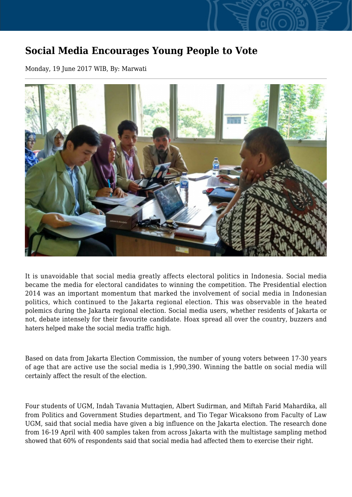## **Social Media Encourages Young People to Vote**

Monday, 19 June 2017 WIB, By: Marwati



It is unavoidable that social media greatly affects electoral politics in Indonesia. Social media became the media for electoral candidates to winning the competition. The Presidential election 2014 was an important momentum that marked the involvement of social media in Indonesian politics, which continued to the Jakarta regional election. This was observable in the heated polemics during the Jakarta regional election. Social media users, whether residents of Jakarta or not, debate intensely for their favourite candidate. Hoax spread all over the country, buzzers and haters helped make the social media traffic high.

Based on data from Jakarta Election Commission, the number of young voters between 17-30 years of age that are active use the social media is 1,990,390. Winning the battle on social media will certainly affect the result of the election.

Four students of UGM, Indah Tavania Muttaqien, Albert Sudirman, and Miftah Farid Mahardika, all from Politics and Government Studies department, and Tio Tegar Wicaksono from Faculty of Law UGM, said that social media have given a big influence on the Jakarta election. The research done from 16-19 April with 400 samples taken from across Jakarta with the multistage sampling method showed that 60% of respondents said that social media had affected them to exercise their right.